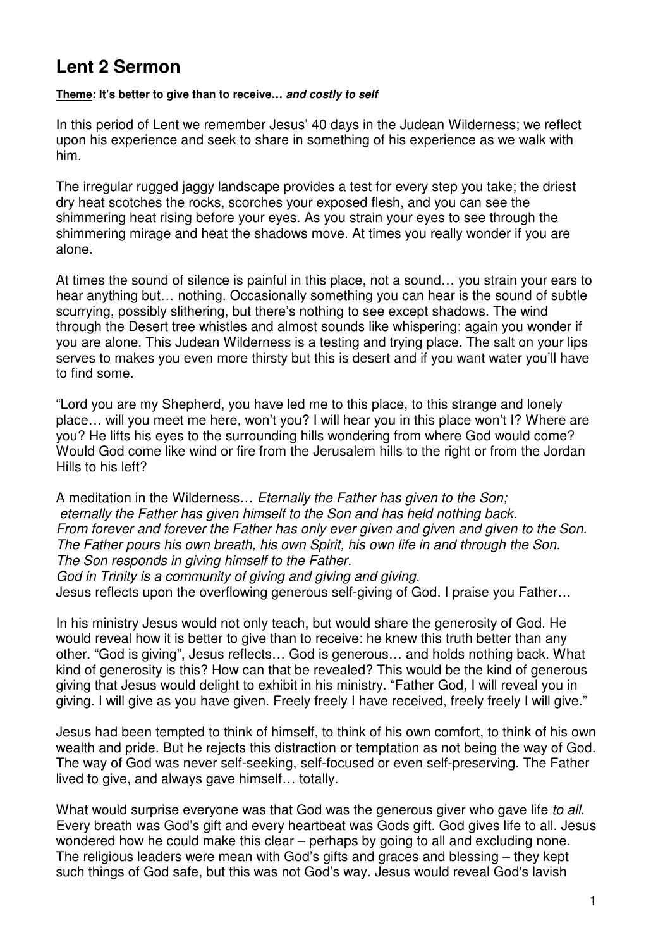## **Lent 2 Sermon**

## **Theme: It's better to give than to receive… and costly to self**

In this period of Lent we remember Jesus' 40 days in the Judean Wilderness; we reflect upon his experience and seek to share in something of his experience as we walk with him.

The irregular rugged jaggy landscape provides a test for every step you take; the driest dry heat scotches the rocks, scorches your exposed flesh, and you can see the shimmering heat rising before your eyes. As you strain your eyes to see through the shimmering mirage and heat the shadows move. At times you really wonder if you are alone.

At times the sound of silence is painful in this place, not a sound… you strain your ears to hear anything but… nothing. Occasionally something you can hear is the sound of subtle scurrying, possibly slithering, but there's nothing to see except shadows. The wind through the Desert tree whistles and almost sounds like whispering: again you wonder if you are alone. This Judean Wilderness is a testing and trying place. The salt on your lips serves to makes you even more thirsty but this is desert and if you want water you'll have to find some.

"Lord you are my Shepherd, you have led me to this place, to this strange and lonely place… will you meet me here, won't you? I will hear you in this place won't I? Where are you? He lifts his eyes to the surrounding hills wondering from where God would come? Would God come like wind or fire from the Jerusalem hills to the right or from the Jordan Hills to his left?

A meditation in the Wilderness… Eternally the Father has given to the Son; eternally the Father has given himself to the Son and has held nothing back. From forever and forever the Father has only ever given and given and given to the Son. The Father pours his own breath, his own Spirit, his own life in and through the Son. The Son responds in giving himself to the Father.

God in Trinity is a community of giving and giving and giving. Jesus reflects upon the overflowing generous self-giving of God. I praise you Father…

In his ministry Jesus would not only teach, but would share the generosity of God. He would reveal how it is better to give than to receive: he knew this truth better than any other. "God is giving", Jesus reflects… God is generous… and holds nothing back. What kind of generosity is this? How can that be revealed? This would be the kind of generous giving that Jesus would delight to exhibit in his ministry. "Father God, I will reveal you in giving. I will give as you have given. Freely freely I have received, freely freely I will give."

Jesus had been tempted to think of himself, to think of his own comfort, to think of his own wealth and pride. But he rejects this distraction or temptation as not being the way of God. The way of God was never self-seeking, self-focused or even self-preserving. The Father lived to give, and always gave himself… totally.

What would surprise everyone was that God was the generous giver who gave life to all. Every breath was God's gift and every heartbeat was Gods gift. God gives life to all. Jesus wondered how he could make this clear – perhaps by going to all and excluding none. The religious leaders were mean with God's gifts and graces and blessing – they kept such things of God safe, but this was not God's way. Jesus would reveal God's lavish